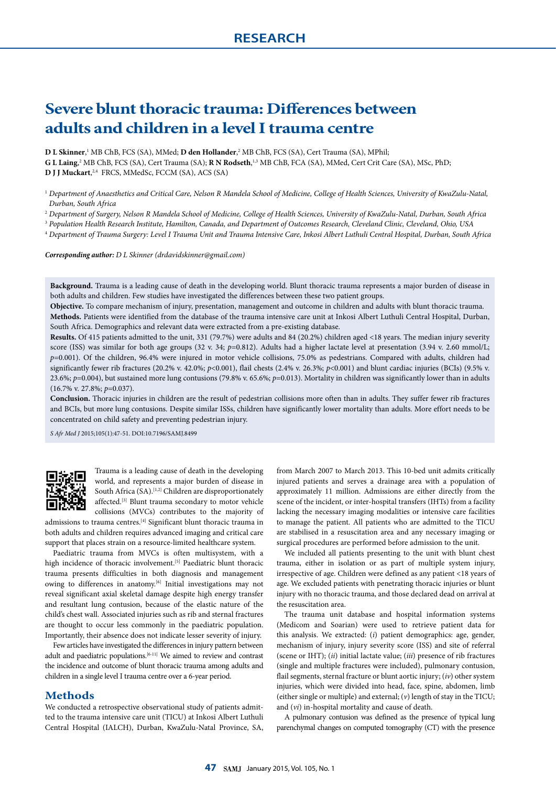# **Severe blunt thoracic trauma: Differences between adults and children in a level I trauma centre**

**D L Skinner**, 1 MB ChB, FCS (SA), MMed; **D den Hollander**, 2 MB ChB, FCS (SA), Cert Trauma (SA), MPhil;

**G L Laing**,<sup>2</sup> MB ChB, FCS (SA), Cert Trauma (SA); **R N Rodseth**,<sup>1,3</sup> MB ChB, FCA (SA), MMed, Cert Crit Care (SA), MSc, PhD; **D J J Muckart**, 2,4 FRCS, MMedSc, FCCM (SA), ACS (SA)

<sup>1</sup> *Department of Anaesthetics and Critical Care, Nelson R Mandela School of Medicine, College of Health Sciences, University of KwaZulu-Natal, Durban, South Africa*

<sup>2</sup> *Department of Surgery, Nelson R Mandela School of Medicine, College of Health Sciences, University of KwaZulu-Natal, Durban, South Africa*

<sup>3</sup> *Population Health Research Institute, Hamilton, Canada, and Department of Outcomes Research, Cleveland Clinic, Cleveland, Ohio, USA*

<sup>4</sup> *Department of Trauma Surgery: Level I Trauma Unit and Trauma Intensive Care, Inkosi Albert Luthuli Central Hospital, Durban, South Africa*

*Corresponding author: D L Skinner (drdavidskinner@gmail.com)*

**Background.** Trauma is a leading cause of death in the developing world. Blunt thoracic trauma represents a major burden of disease in both adults and children. Few studies have investigated the differences between these two patient groups.

**Objective.** To compare mechanism of injury, presentation, management and outcome in children and adults with blunt thoracic trauma. **Methods.** Patients were identified from the database of the trauma intensive care unit at Inkosi Albert Luthuli Central Hospital, Durban, South Africa. Demographics and relevant data were extracted from a pre-existing database.

**Results.** Of 415 patients admitted to the unit, 331 (79.7%) were adults and 84 (20.2%) children aged <18 years. The median injury severity score (ISS) was similar for both age groups (32 v. 34; *p*=0.812). Adults had a higher lactate level at presentation (3.94 v. 2.60 mmol/L; *p*=0.001). Of the children, 96.4% were injured in motor vehicle collisions, 75.0% as pedestrians. Compared with adults, children had significantly fewer rib fractures (20.2% v. 42.0%; *p*<0.001), flail chests (2.4% v. 26.3%; *p*<0.001) and blunt cardiac injuries (BCIs) (9.5% v. 23.6%; *p*=0.004), but sustained more lung contusions (79.8% v. 65.6%; *p*=0.013). Mortality in children was significantly lower than in adults (16.7% v. 27.8%; *p*=0.037).

**Conclusion.** Thoracic injuries in children are the result of pedestrian collisions more often than in adults. They suffer fewer rib fractures and BCIs, but more lung contusions. Despite similar ISSs, children have significantly lower mortality than adults. More effort needs to be concentrated on child safety and preventing pedestrian injury.

*S Afr Med J* 2015;105(1):47-51. DOI:10.7196/SAMJ.8499



Trauma is a leading cause of death in the developing world, and represents a major burden of disease in South Africa (SA).<sup>[1,2]</sup> Children are disproportionately affected.<sup>[3]</sup> Blunt trauma secondary to motor vehicle collisions (MVCs) contributes to the majority of

admissions to trauma centres.[4] Significant blunt thoracic trauma in both adults and children requires advanced imaging and critical care support that places strain on a resource-limited healthcare system.

Paediatric trauma from MVCs is often multisystem, with a high incidence of thoracic involvement.<sup>[5]</sup> Paediatric blunt thoracic trauma presents difficulties in both diagnosis and management owing to differences in anatomy.<sup>[6]</sup> Initial investigations may not reveal significant axial skeletal damage despite high energy transfer and resultant lung contusion, because of the elastic nature of the child's chest wall. Associated injuries such as rib and sternal fractures are thought to occur less commonly in the paediatric population. Importantly, their absence does not indicate lesser severity of injury.

Few articles have investigated the differences in injury pattern between adult and paediatric populations.[6-11] We aimed to review and contrast the incidence and outcome of blunt thoracic trauma among adults and children in a single level I trauma centre over a 6-year period.

#### **Methods**

We conducted a retrospective observational study of patients admitted to the trauma intensive care unit (TICU) at Inkosi Albert Luthuli Central Hospital (IALCH), Durban, KwaZulu-Natal Province, SA, from March 2007 to March 2013. This 10-bed unit admits critically injured patients and serves a drainage area with a population of approximately 11 million. Admissions are either directly from the scene of the incident, or inter-hospital transfers (IHTs) from a facility lacking the necessary imaging modalities or intensive care facilities to manage the patient. All patients who are admitted to the TICU are stabilised in a resuscitation area and any necessary imaging or surgical procedures are performed before admission to the unit.

We included all patients presenting to the unit with blunt chest trauma, either in isolation or as part of multiple system injury, irrespective of age. Children were defined as any patient <18 years of age. We excluded patients with penetrating thoracic injuries or blunt injury with no thoracic trauma, and those declared dead on arrival at the resuscitation area.

The trauma unit database and hospital information systems (Medicom and Soarian) were used to retrieve patient data for this analysis. We extracted: (*i*) patient demographics: age, gender, mechanism of injury, injury severity score (ISS) and site of referral (scene or IHT); (*ii*) initial lactate value; (*iii*) presence of rib fractures (single and multiple fractures were included), pulmonary contusion, flail segments, sternal fracture or blunt aortic injury; (*iv*) other system injuries, which were divided into head, face, spine, abdomen, limb (either single or multiple) and external; (*v*) length of stay in the TICU; and (*vi*) in-hospital mortality and cause of death.

A pulmonary contusion was defined as the presence of typical lung parenchymal changes on computed tomography (CT) with the presence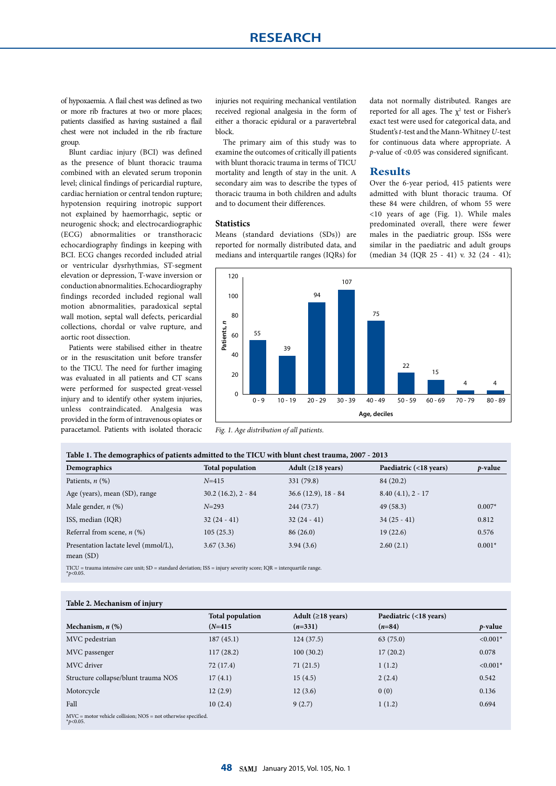of hypoxaemia. A flail chest was defined as two or more rib fractures at two or more places; patients classified as having sustained a flail chest were not included in the rib fracture group.

Blunt cardiac injury (BCI) was defined as the presence of blunt thoracic trauma combined with an elevated serum troponin level; clinical findings of pericardial rupture, cardiac herniation or central tendon rupture; hypotension requiring inotropic support not explained by haemorrhagic, septic or neurogenic shock; and electrocardiographic (ECG) abnormalities or transthoracic echocardiography findings in keeping with BCI. ECG changes recorded included atrial or ventricular dysrhythmias, ST-segment elevation or depression, T-wave inversion or conduction abnormalities. Echocardiography findings recorded included regional wall motion abnormalities, paradoxical septal wall motion, septal wall defects, pericardial collections, chordal or valve rupture, and aortic root dissection.

Patients were stabilised either in theatre or in the resuscitation unit before transfer to the TICU. The need for further imaging was evaluated in all patients and CT scans were performed for suspected great-vessel injury and to identify other system injuries, unless contraindicated. Analgesia was provided in the form of intravenous opiates or paracetamol. Patients with isolated thoracic

injuries not requiring mechanical ventilation received regional analgesia in the form of either a thoracic epidural or a paravertebral block.

The primary aim of this study was to examine the outcomes of critically ill patients with blunt thoracic trauma in terms of TICU mortality and length of stay in the unit. A secondary aim was to describe the types of thoracic trauma in both children and adults and to document their differences.

#### **Statistics**

Means (standard deviations (SDs)) are reported for normally distributed data, and medians and interquartile ranges (IQRs) for data not normally distributed. Ranges are reported for all ages. The  $\chi^2$  test or Fisher's exact test were used for categorical data, and Student's *t*-test and the Mann-Whitney *U*-test for continuous data where appropriate. A *p*-value of <0.05 was considered significant.

### **Results**

Over the 6-year period, 415 patients were admitted with blunt thoracic trauma. Of these 84 were children, of whom 55 were <10 years of age (Fig. 1). While males predominated overall, there were fewer males in the paediatric group. ISSs were similar in the paediatric and adult groups (median 34 (IQR 25 - 41) v. 32 (24 - 41);



*Fig. 1. Age distribution of all patients.*

| Table 1. The demographics of patients admitted to the TICU with blunt chest trauma, 2007 - 2013 |  |
|-------------------------------------------------------------------------------------------------|--|
|-------------------------------------------------------------------------------------------------|--|

| Demographics                                        | <b>Total population</b> | Adult ( $\geq$ 18 years) | Paediatric (<18 years) | $p$ -value |
|-----------------------------------------------------|-------------------------|--------------------------|------------------------|------------|
| Patients, $n$ $(\%)$                                | $N = 415$               | 331 (79.8)               | 84 (20.2)              |            |
| Age (years), mean (SD), range                       | $30.2(16.2), 2 - 84$    | $36.6(12.9), 18 - 84$    | $8.40(4.1), 2 - 17$    |            |
| Male gender, $n$ (%)                                | $N = 293$               | 244 (73.7)               | 49(58.3)               | $0.007*$   |
| ISS, median (IQR)                                   | $32(24-41)$             | $32(24-41)$              | $34(25-41)$            | 0.812      |
| Referral from scene, $n$ (%)                        | 105(25.3)               | 86(26.0)                 | 19(22.6)               | 0.576      |
| Presentation lactate level (mmol/L),<br>mean $(SD)$ | 3.67(3.36)              | 3.94(3.6)                | 2.60(2.1)              | $0.001*$   |

TICU = trauma intensive care unit; SD = standard deviation; ISS = injury severity score; IQR = interquartile range. \**p*<0.05.

#### **Table 2. Mechanism of injury**

| $\sim$ $\sim$                                                                     |                                      |                                       |                                    |            |
|-----------------------------------------------------------------------------------|--------------------------------------|---------------------------------------|------------------------------------|------------|
| Mechanism, $n$ $(\%)$                                                             | <b>Total population</b><br>$(N=415)$ | Adult ( $\geq$ 18 years)<br>$(n=331)$ | Paediatric (<18 years)<br>$(n=84)$ | $p$ -value |
| MVC pedestrian                                                                    | 187(45.1)                            | 124(37.5)                             | 63(75.0)                           | $< 0.001*$ |
| MVC passenger                                                                     | 117(28.2)                            | 100(30.2)                             | 17(20.2)                           | 0.078      |
| MVC driver                                                                        | 72 (17.4)                            | 71(21.5)                              | 1(1.2)                             | $< 0.001*$ |
| Structure collapse/blunt trauma NOS                                               | 17(4.1)                              | 15(4.5)                               | 2(2.4)                             | 0.542      |
| Motorcycle                                                                        | 12(2.9)                              | 12(3.6)                               | 0(0)                               | 0.136      |
| Fall                                                                              | 10(2.4)                              | 9(2.7)                                | 1(1.2)                             | 0.694      |
| $MVC$ = motor vehicle collision; $NOS$ = not otherwise specified.<br>* $p<0.05$ . |                                      |                                       |                                    |            |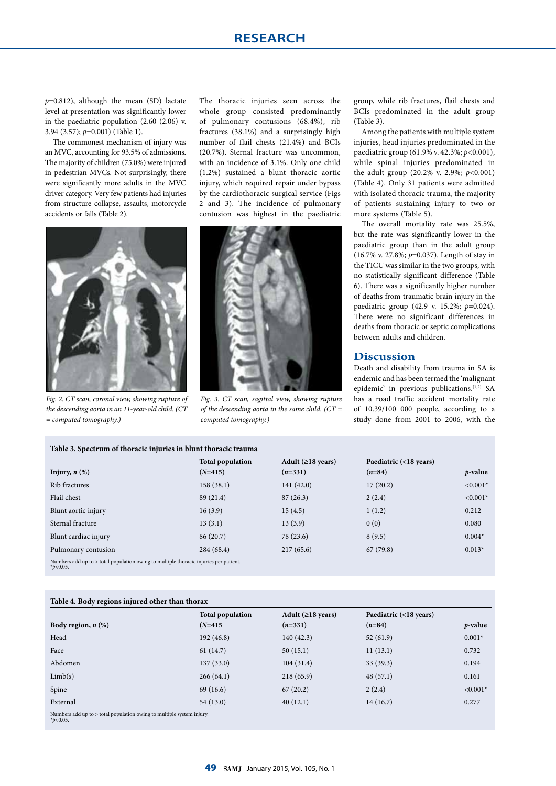*p*=0.812), although the mean (SD) lactate level at presentation was significantly lower in the paediatric population (2.60 (2.06) v. 3.94 (3.57); *p*=0.001) (Table 1).

The commonest mechanism of injury was an MVC, accounting for 93.5% of admissions. The majority of children (75.0%) were injured in pedestrian MVCs. Not surprisingly, there were significantly more adults in the MVC driver category. Very few patients had injuries from structure collapse, assaults, motorcycle accidents or falls (Table 2).

The thoracic injuries seen across the whole group consisted predominantly of pulmonary contusions (68.4%), rib fractures (38.1%) and a surprisingly high number of flail chests (21.4%) and BCIs (20.7%). Sternal fracture was uncommon, with an incidence of 3.1%. Only one child (1.2%) sustained a blunt thoracic aortic injury, which required repair under bypass by the cardiothoracic surgical service (Figs 2 and 3). The incidence of pulmonary contusion was highest in the paediatric



*Fig. 2. CT scan, coronal view, showing rupture of the descending aorta in an 11-year-old child. (CT = computed tomography.)*

![](_page_2_Picture_6.jpeg)

*Fig. 3. CT scan, sagittal view, showing rupture of the descending aorta in the same child. (CT = computed tomography.)*

group, while rib fractures, flail chests and BCIs predominated in the adult group (Table 3).

Among the patients with multiple system injuries, head injuries predominated in the paediatric group (61.9% v. 42.3%; *p*<0.001), while spinal injuries predominated in the adult group (20.2% v. 2.9%; *p*<0.001) (Table 4). Only 31 patients were admitted with isolated thoracic trauma, the majority of patients sustaining injury to two or more systems (Table 5).

The overall mortality rate was 25.5%, but the rate was significantly lower in the paediatric group than in the adult group (16.7% v. 27.8%; *p*=0.037). Length of stay in the TICU was similar in the two groups, with no statistically significant difference (Table 6). There was a significantly higher number of deaths from traumatic brain injury in the paediatric group (42.9 v. 15.2%; *p*=0.024). There were no significant differences in deaths from thoracic or septic complications between adults and children.

#### **Discussion**

Death and disability from trauma in SA is endemic and has been termed the 'malignant epidemic' in previous publications.<sup>[1,2]</sup> SA has a road traffic accident mortality rate of 10.39/100 000 people, according to a study done from 2001 to 2006, with the

| Table 3. Spectrum of thoracic injuries in blunt thoracic trauma                                       |                         |                          |                        |                 |
|-------------------------------------------------------------------------------------------------------|-------------------------|--------------------------|------------------------|-----------------|
|                                                                                                       | <b>Total population</b> | Adult ( $\geq$ 18 years) | Paediatric (<18 years) |                 |
| Injury, $n$ $(\%)$                                                                                    | $(N=415)$               | $(n=331)$                | $(n=84)$               | <i>p</i> -value |
| Rib fractures                                                                                         | 158(38.1)               | 141(42.0)                | 17(20.2)               | $< 0.001*$      |
| Flail chest                                                                                           | 89 (21.4)               | 87(26.3)                 | 2(2.4)                 | $< 0.001*$      |
| Blunt aortic injury                                                                                   | 16(3.9)                 | 15(4.5)                  | 1(1.2)                 | 0.212           |
| Sternal fracture                                                                                      | 13(3.1)                 | 13(3.9)                  | 0(0)                   | 0.080           |
| Blunt cardiac injury                                                                                  | 86 (20.7)               | 78 (23.6)                | 8(9.5)                 | $0.004*$        |
| Pulmonary contusion                                                                                   | 284 (68.4)              | 217(65.6)                | 67(79.8)               | $0.013*$        |
| Numbers add up to > total population owing to multiple thoracic injuries per patient.<br>* $p<0.05$ . |                         |                          |                        |                 |

#### **Table 4. Body regions injured other than thorax**

|                                                                                       | <b>Total population</b> | Adult ( $\geq$ 18 years) | Paediatric (<18 years) |            |  |
|---------------------------------------------------------------------------------------|-------------------------|--------------------------|------------------------|------------|--|
| Body region, $n$ $(\%)$                                                               | $(N=415)$               | $(n=331)$                | $(n=84)$               | $p$ -value |  |
| Head                                                                                  | 192(46.8)               | 140(42.3)                | 52(61.9)               | $0.001*$   |  |
| Face                                                                                  | 61(14.7)                | 50(15.1)                 | 11(13.1)               | 0.732      |  |
| Abdomen                                                                               | 137(33.0)               | 104(31.4)                | 33(39.3)               | 0.194      |  |
| Limb(s)                                                                               | 266(64.1)               | 218(65.9)                | 48(57.1)               | 0.161      |  |
| Spine                                                                                 | 69 (16.6)               | 67(20.2)                 | 2(2.4)                 | $< 0.001*$ |  |
| External                                                                              | 54(13.0)                | 40(12.1)                 | 14(16.7)               | 0.277      |  |
| Numbers add up to > total population owing to multiple system injury.<br>* $p<0.05$ . |                         |                          |                        |            |  |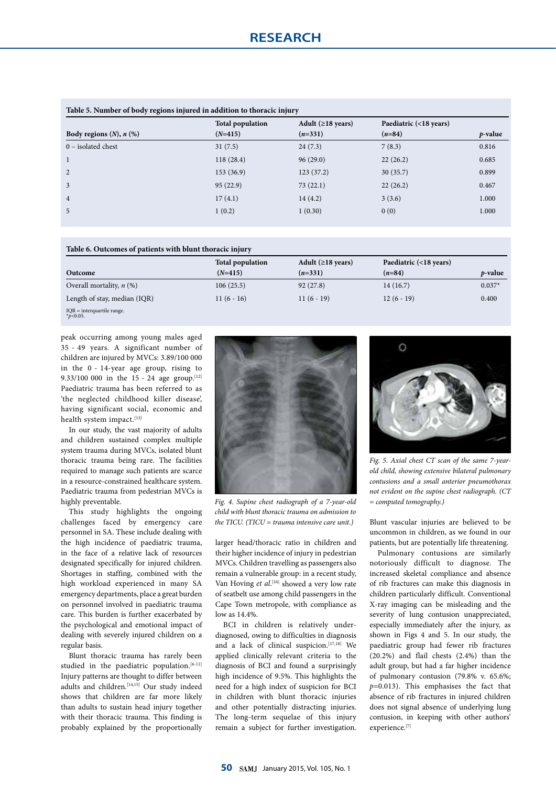| Table 5. Number of body regions injured in addition to thoracic injury |                         |                          |                        |            |  |
|------------------------------------------------------------------------|-------------------------|--------------------------|------------------------|------------|--|
|                                                                        | <b>Total population</b> | Adult ( $\geq$ 18 years) | Paediatric (<18 years) |            |  |
| Body regions $(N)$ , $n$ $(\%)$                                        | $(N=415)$               | $(n=331)$                | $(n=84)$               | $p$ -value |  |
| $0$ – isolated chest                                                   | 31(7.5)                 | 24(7.3)                  | 7(8.3)                 | 0.816      |  |
| 1                                                                      | 118(28.4)               | 96(29.0)                 | 22(26.2)               | 0.685      |  |
| 2                                                                      | 153(36.9)               | 123(37.2)                | 30(35.7)               | 0.899      |  |
| $\overline{3}$                                                         | 95(22.9)                | 73(22.1)                 | 22(26.2)               | 0.467      |  |
| $\overline{4}$                                                         | 17(4.1)                 | 14(4.2)                  | 3(3.6)                 | 1.000      |  |
| $\overline{5}$                                                         | 1(0.2)                  | 1(0.30)                  | 0(0)                   | 1.000      |  |

#### **Table 6. Outcomes of patients with blunt thoracic injury**

|                              | <b>Total population</b> | Adult ( $\geq$ 18 years) | Paediatric (<18 years) |                 |
|------------------------------|-------------------------|--------------------------|------------------------|-----------------|
| Outcome                      | $(N=415)$               | $(n=331)$                | $(n=84)$               | <i>p</i> -value |
| Overall mortality, $n$ (%)   | 106(25.5)               | 92(27.8)                 | 14(16.7)               | $0.037*$        |
| Length of stay, median (IQR) | $11(6-16)$              | $11(6-19)$               | $12(6-19)$             | 0.400           |
| $IOR =$ interquartile range. |                         |                          |                        |                 |

IQR = interquartile range. \**p*<0.05.

peak occurring among young males aged 35 - 49 years. A significant number of children are injured by MVCs: 3.89/100 000 in the 0 - 14-year age group, rising to 9.33/100 000 in the 15 - 24 age group.<sup>[12]</sup> Paediatric trauma has been referred to as 'the neglected childhood killer disease', having significant social, economic and health system impact.<sup>[13]</sup>

In our study, the vast majority of adults and children sustained complex multiple system trauma during MVCs, isolated blunt thoracic trauma being rare. The facilities required to manage such patients are scarce in a resource-constrained healthcare system. Paediatric trauma from pedestrian MVCs is highly preventable.

This study highlights the ongoing challenges faced by emergency care personnel in SA. These include dealing with the high incidence of paediatric trauma, in the face of a relative lack of resources designated specifically for injured children. Shortages in staffing, combined with the high workload experienced in many SA emergency departments, place a great burden on personnel involved in paediatric trauma care. This burden is further exacerbated by the psychological and emotional impact of dealing with severely injured children on a regular basis.

Blunt thoracic trauma has rarely been studied in the paediatric population.<sup>[6-11]</sup> Injury patterns are thought to differ between adults and children.<sup>[14,15]</sup> Our study indeed shows that children are far more likely than adults to sustain head injury together with their thoracic trauma. This finding is probably explained by the proportionally

![](_page_3_Picture_9.jpeg)

*Fig. 4. Supine chest radiograph of a 7-year-old child with blunt thoracic trauma on admission to the TICU. (TICU = trauma intensive care unit.)*

larger head/thoracic ratio in children and their higher incidence of injury in pedestrian MVCs. Children travelling as passengers also remain a vulnerable group: in a recent study, Van Hoving *et al*.<sup>[16]</sup> showed a very low rate of seatbelt use among child passengers in the Cape Town metropole, with compliance as low as 14.4%.

BCI in children is relatively underdiagnosed, owing to difficulties in diagnosis and a lack of clinical suspicion.<sup>[17,18]</sup> We applied clinically relevant criteria to the diagnosis of BCI and found a surprisingly high incidence of 9.5%. This highlights the need for a high index of suspicion for BCI in children with blunt thoracic injuries and other potentially distracting injuries. The long-term sequelae of this injury remain a subject for further investigation.

![](_page_3_Picture_13.jpeg)

*Fig. 5. Axial chest CT scan of the same 7-yearold child, showing extensive bilateral pulmonary contusions and a small anterior pneumothorax not evident on the supine chest radiograph. (CT = computed tomography.)*

Blunt vascular injuries are believed to be uncommon in children, as we found in our patients, but are potentially life threatening.

Pulmonary contusions are similarly notoriously difficult to diagnose. The increased skeletal compliance and absence of rib fractures can make this diagnosis in children particularly difficult. Conventional X-ray imaging can be misleading and the severity of lung contusion unappreciated, especially immediately after the injury, as shown in Figs 4 and 5. In our study, the paediatric group had fewer rib fractures (20.2%) and flail chests (2.4%) than the adult group, but had a far higher incidence of pulmonary contusion (79.8% v. 65.6%; *p*=0.013). This emphasises the fact that absence of rib fractures in injured children does not signal absence of underlying lung contusion, in keeping with other authors' experience.[7]